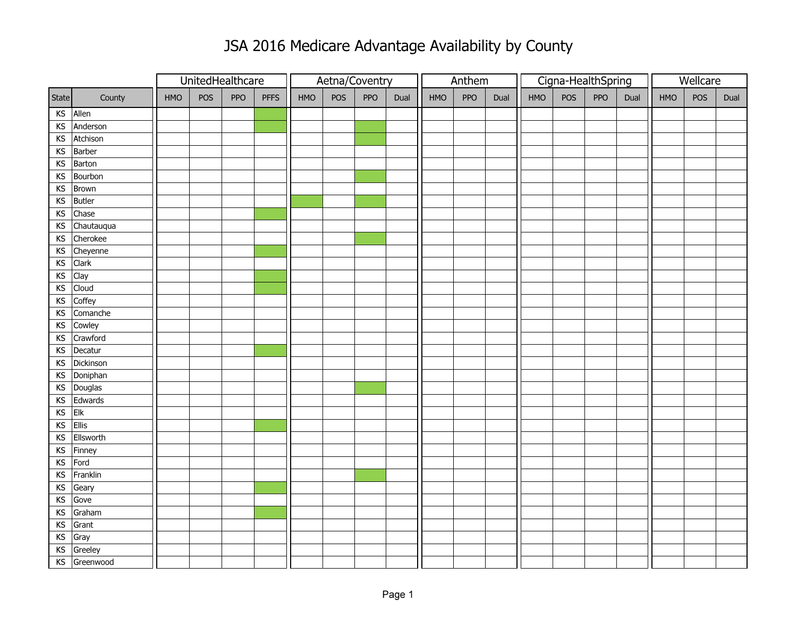## JSA 2016 Medicare Advantage Availability by County

|                                                                   |               | UnitedHealthcare |     |            |             | Aetna/Coventry |     |     |      | Anthem |     |      |     |     | Cigna-HealthSpring | Wellcare |     |     |      |
|-------------------------------------------------------------------|---------------|------------------|-----|------------|-------------|----------------|-----|-----|------|--------|-----|------|-----|-----|--------------------|----------|-----|-----|------|
| State                                                             | County        | HMO              | POS | <b>PPO</b> | <b>PFFS</b> | HMO            | POS | PPO | Dual | HMO    | PPO | Dual | HMO | POS | PPO                | Dual     | HMO | POS | Dual |
| $\mathsf{KS}% _{\mathsf{K}}^{\mathsf{K}}\left( \mathsf{K}\right)$ | Allen         |                  |     |            |             |                |     |     |      |        |     |      |     |     |                    |          |     |     |      |
| KS                                                                | Anderson      |                  |     |            |             |                |     |     |      |        |     |      |     |     |                    |          |     |     |      |
| KS                                                                | Atchison      |                  |     |            |             |                |     |     |      |        |     |      |     |     |                    |          |     |     |      |
|                                                                   | KS Barber     |                  |     |            |             |                |     |     |      |        |     |      |     |     |                    |          |     |     |      |
| KS                                                                | Barton        |                  |     |            |             |                |     |     |      |        |     |      |     |     |                    |          |     |     |      |
| KS                                                                | Bourbon       |                  |     |            |             |                |     |     |      |        |     |      |     |     |                    |          |     |     |      |
| KS                                                                | Brown         |                  |     |            |             |                |     |     |      |        |     |      |     |     |                    |          |     |     |      |
| $\mathsf{KS}% _{\mathsf{K}}^{\mathsf{K}}\left( \mathsf{K}\right)$ | <b>Butler</b> |                  |     |            |             |                |     |     |      |        |     |      |     |     |                    |          |     |     |      |
| $\mathsf{KS}% _{\mathsf{K}}^{\mathsf{K}}\left( \mathsf{K}\right)$ | Chase         |                  |     |            |             |                |     |     |      |        |     |      |     |     |                    |          |     |     |      |
| $\mathsf{KS}% _{\mathsf{K}}^{\mathsf{K}}\left( \mathsf{K}\right)$ | Chautauqua    |                  |     |            |             |                |     |     |      |        |     |      |     |     |                    |          |     |     |      |
| $\mathsf{KS}% _{\mathsf{K}}^{\mathsf{K}}\left( \mathsf{K}\right)$ | Cherokee      |                  |     |            |             |                |     |     |      |        |     |      |     |     |                    |          |     |     |      |
|                                                                   | KS Cheyenne   |                  |     |            |             |                |     |     |      |        |     |      |     |     |                    |          |     |     |      |
| $\mathsf{KS}% _{\mathsf{K}}^{\mathsf{K}}\left( \mathsf{K}\right)$ | <b>Clark</b>  |                  |     |            |             |                |     |     |      |        |     |      |     |     |                    |          |     |     |      |
| $\mathsf{KS}% _{\mathsf{K}}^{\mathsf{K}}\left( \mathsf{K}\right)$ | Clay          |                  |     |            |             |                |     |     |      |        |     |      |     |     |                    |          |     |     |      |
| KS                                                                | Cloud         |                  |     |            |             |                |     |     |      |        |     |      |     |     |                    |          |     |     |      |
| $\mathsf{KS}% _{\mathsf{K}}^{\mathsf{K}}\left( \mathsf{K}\right)$ | Coffey        |                  |     |            |             |                |     |     |      |        |     |      |     |     |                    |          |     |     |      |
| $\mathsf{KS}% _{\mathsf{K}}^{\mathsf{K}}\left( \mathsf{K}\right)$ | Comanche      |                  |     |            |             |                |     |     |      |        |     |      |     |     |                    |          |     |     |      |
| KS                                                                | Cowley        |                  |     |            |             |                |     |     |      |        |     |      |     |     |                    |          |     |     |      |
| $\mathsf{KS}% _{\mathsf{K}}^{\mathsf{K}}\left( \mathsf{K}\right)$ | Crawford      |                  |     |            |             |                |     |     |      |        |     |      |     |     |                    |          |     |     |      |
|                                                                   | KS Decatur    |                  |     |            |             |                |     |     |      |        |     |      |     |     |                    |          |     |     |      |
| $\mathsf{KS}% _{\mathsf{K}}^{\mathsf{K}}\left( \mathsf{K}\right)$ | Dickinson     |                  |     |            |             |                |     |     |      |        |     |      |     |     |                    |          |     |     |      |
| KS                                                                | Doniphan      |                  |     |            |             |                |     |     |      |        |     |      |     |     |                    |          |     |     |      |
| KS                                                                | Douglas       |                  |     |            |             |                |     |     |      |        |     |      |     |     |                    |          |     |     |      |
| KS                                                                | Edwards       |                  |     |            |             |                |     |     |      |        |     |      |     |     |                    |          |     |     |      |
| KS                                                                | Elk           |                  |     |            |             |                |     |     |      |        |     |      |     |     |                    |          |     |     |      |
| $\mathsf{KS}% _{\mathsf{K}}^{\mathsf{K}}\left( \mathsf{K}\right)$ | Ellis         |                  |     |            |             |                |     |     |      |        |     |      |     |     |                    |          |     |     |      |
| KS                                                                | Ellsworth     |                  |     |            |             |                |     |     |      |        |     |      |     |     |                    |          |     |     |      |
|                                                                   | KS Finney     |                  |     |            |             |                |     |     |      |        |     |      |     |     |                    |          |     |     |      |
| $\mathsf{KS}% _{\mathsf{K}}^{\mathsf{K}}\left( \mathsf{K}\right)$ | Ford          |                  |     |            |             |                |     |     |      |        |     |      |     |     |                    |          |     |     |      |
| $\mathsf{KS}% _{\mathsf{K}}^{\mathsf{K}}\left( \mathsf{K}\right)$ | Franklin      |                  |     |            |             |                |     |     |      |        |     |      |     |     |                    |          |     |     |      |
| $\mathsf{KS}% _{\mathsf{K}}^{\mathsf{K}}\left( \mathsf{K}\right)$ | Geary         |                  |     |            |             |                |     |     |      |        |     |      |     |     |                    |          |     |     |      |
| $\mathsf{KS}% _{\mathsf{K}}^{\mathsf{K}}\left( \mathsf{K}\right)$ | Gove          |                  |     |            |             |                |     |     |      |        |     |      |     |     |                    |          |     |     |      |
| KS                                                                | Graham        |                  |     |            |             |                |     |     |      |        |     |      |     |     |                    |          |     |     |      |
| $\mathsf{KS}% _{\mathsf{K}}^{\mathsf{K}}\left( \mathsf{K}\right)$ | Grant         |                  |     |            |             |                |     |     |      |        |     |      |     |     |                    |          |     |     |      |
| $\mathsf{KS}% _{\mathsf{K}}^{\mathsf{K}}\left( \mathsf{K}\right)$ | Gray          |                  |     |            |             |                |     |     |      |        |     |      |     |     |                    |          |     |     |      |
| KS                                                                | Greeley       |                  |     |            |             |                |     |     |      |        |     |      |     |     |                    |          |     |     |      |
|                                                                   | KS Greenwood  |                  |     |            |             |                |     |     |      |        |     |      |     |     |                    |          |     |     |      |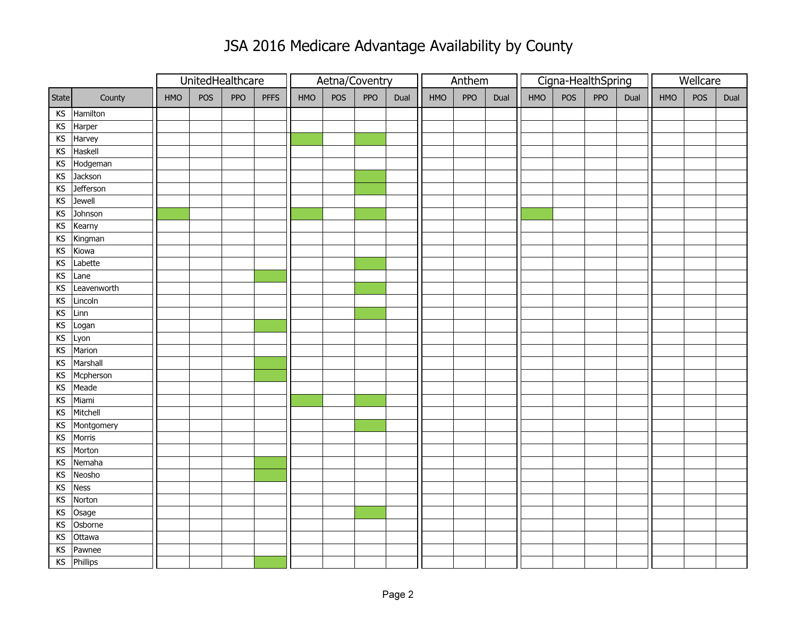## JSA 2016 Medicare Advantage Availability by County

|                                                                   |                 | UnitedHealthcare |     |     |             | Aetna/Coventry |     |     |      | Anthem |     |      |            | Cigna-HealthSpring |     | Wellcare |            |     |      |
|-------------------------------------------------------------------|-----------------|------------------|-----|-----|-------------|----------------|-----|-----|------|--------|-----|------|------------|--------------------|-----|----------|------------|-----|------|
| State                                                             | County          | <b>HMO</b>       | POS | PPO | <b>PFFS</b> | HMO            | POS | PPO | Dual | HMO    | PPO | Dual | <b>HMO</b> | POS                | PPO | Dual     | <b>HMO</b> | POS | Dual |
| $\mathsf{KS}% _{\mathsf{K}}^{\mathsf{K}}\left( \mathsf{K}\right)$ | Hamilton        |                  |     |     |             |                |     |     |      |        |     |      |            |                    |     |          |            |     |      |
| KS                                                                | Harper          |                  |     |     |             |                |     |     |      |        |     |      |            |                    |     |          |            |     |      |
| KS                                                                | Harvey          |                  |     |     |             |                |     |     |      |        |     |      |            |                    |     |          |            |     |      |
| KS                                                                | Haskell         |                  |     |     |             |                |     |     |      |        |     |      |            |                    |     |          |            |     |      |
| KS                                                                | Hodgeman        |                  |     |     |             |                |     |     |      |        |     |      |            |                    |     |          |            |     |      |
| KS                                                                | Jackson         |                  |     |     |             |                |     |     |      |        |     |      |            |                    |     |          |            |     |      |
| KS                                                                | Jefferson       |                  |     |     |             |                |     |     |      |        |     |      |            |                    |     |          |            |     |      |
| KS                                                                | Jewell          |                  |     |     |             |                |     |     |      |        |     |      |            |                    |     |          |            |     |      |
| KS                                                                | Johnson         |                  |     |     |             |                |     |     |      |        |     |      |            |                    |     |          |            |     |      |
| KS                                                                | Kearny          |                  |     |     |             |                |     |     |      |        |     |      |            |                    |     |          |            |     |      |
| $\mathsf{KS}% _{\mathsf{K}}\left( \mathsf{K}\right)$              | Kingman         |                  |     |     |             |                |     |     |      |        |     |      |            |                    |     |          |            |     |      |
| KS                                                                | Kiowa           |                  |     |     |             |                |     |     |      |        |     |      |            |                    |     |          |            |     |      |
| KS                                                                | Labette         |                  |     |     |             |                |     |     |      |        |     |      |            |                    |     |          |            |     |      |
| KS                                                                | Lane            |                  |     |     |             |                |     |     |      |        |     |      |            |                    |     |          |            |     |      |
| KS                                                                | Leavenworth     |                  |     |     |             |                |     |     |      |        |     |      |            |                    |     |          |            |     |      |
| KS                                                                | Lincoln         |                  |     |     |             |                |     |     |      |        |     |      |            |                    |     |          |            |     |      |
| KS                                                                | Linn            |                  |     |     |             |                |     |     |      |        |     |      |            |                    |     |          |            |     |      |
| KS                                                                | Logan           |                  |     |     |             |                |     |     |      |        |     |      |            |                    |     |          |            |     |      |
| KS                                                                | Lyon            |                  |     |     |             |                |     |     |      |        |     |      |            |                    |     |          |            |     |      |
| KS                                                                | Marion          |                  |     |     |             |                |     |     |      |        |     |      |            |                    |     |          |            |     |      |
| KS                                                                | Marshall        |                  |     |     |             |                |     |     |      |        |     |      |            |                    |     |          |            |     |      |
| KS                                                                | Mcpherson       |                  |     |     |             |                |     |     |      |        |     |      |            |                    |     |          |            |     |      |
| KS                                                                | Meade           |                  |     |     |             |                |     |     |      |        |     |      |            |                    |     |          |            |     |      |
| KS                                                                | Miami           |                  |     |     |             |                |     |     |      |        |     |      |            |                    |     |          |            |     |      |
| KS                                                                | Mitchell        |                  |     |     |             |                |     |     |      |        |     |      |            |                    |     |          |            |     |      |
| KS                                                                | Montgomery      |                  |     |     |             |                |     |     |      |        |     |      |            |                    |     |          |            |     |      |
| KS                                                                | Morris          |                  |     |     |             |                |     |     |      |        |     |      |            |                    |     |          |            |     |      |
| KS                                                                | Morton          |                  |     |     |             |                |     |     |      |        |     |      |            |                    |     |          |            |     |      |
| KS                                                                | Nemaha          |                  |     |     |             |                |     |     |      |        |     |      |            |                    |     |          |            |     |      |
| KS                                                                | Neosho          |                  |     |     |             |                |     |     |      |        |     |      |            |                    |     |          |            |     |      |
| KS                                                                | <b>Ness</b>     |                  |     |     |             |                |     |     |      |        |     |      |            |                    |     |          |            |     |      |
| KS                                                                | Norton          |                  |     |     |             |                |     |     |      |        |     |      |            |                    |     |          |            |     |      |
| KS                                                                | Osage           |                  |     |     |             |                |     |     |      |        |     |      |            |                    |     |          |            |     |      |
| KS                                                                | Osborne         |                  |     |     |             |                |     |     |      |        |     |      |            |                    |     |          |            |     |      |
| $\mathsf{KS}% _{\mathsf{K}}\left( \mathsf{K}\right)$              | Ottawa          |                  |     |     |             |                |     |     |      |        |     |      |            |                    |     |          |            |     |      |
| KS                                                                | Pawnee          |                  |     |     |             |                |     |     |      |        |     |      |            |                    |     |          |            |     |      |
| KS                                                                | <b>Phillips</b> |                  |     |     |             |                |     |     |      |        |     |      |            |                    |     |          |            |     |      |